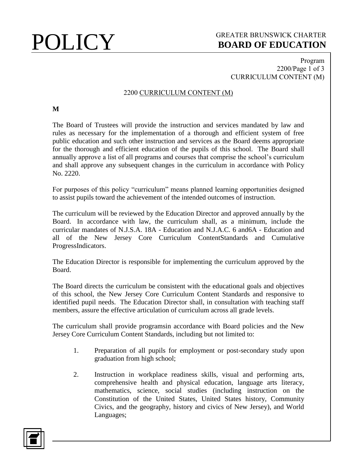## **POLICY** GREATER BRUNSWICK CHARTER<br>BOARD OF EDUCATION **BOARD OF EDUCATION**

### Program 2200/Page 1 of 3 CURRICULUM CONTENT (M)

### 2200 CURRICULUM CONTENT (M)

### **M**

The Board of Trustees will provide the instruction and services mandated by law and rules as necessary for the implementation of a thorough and efficient system of free public education and such other instruction and services as the Board deems appropriate for the thorough and efficient education of the pupils of this school. The Board shall annually approve a list of all programs and courses that comprise the school's curriculum and shall approve any subsequent changes in the curriculum in accordance with Policy No. 2220.

For purposes of this policy "curriculum" means planned learning opportunities designed to assist pupils toward the achievement of the intended outcomes of instruction.

The curriculum will be reviewed by the Education Director and approved annually by the Board. In accordance with law, the curriculum shall, as a minimum, include the curricular mandates of N.J.S.A. 18A - Education and N.J.A.C. 6 and6A - Education and all of the New Jersey Core Curriculum ContentStandards and Cumulative ProgressIndicators.

The Education Director is responsible for implementing the curriculum approved by the Board.

The Board directs the curriculum be consistent with the educational goals and objectives of this school, the New Jersey Core Curriculum Content Standards and responsive to identified pupil needs. The Education Director shall, in consultation with teaching staff members, assure the effective articulation of curriculum across all grade levels.

The curriculum shall provide programsin accordance with Board policies and the New Jersey Core Curriculum Content Standards, including but not limited to:

- 1. Preparation of all pupils for employment or post-secondary study upon graduation from high school;
- 2. Instruction in workplace readiness skills, visual and performing arts, comprehensive health and physical education, language arts literacy, mathematics, science, social studies (including instruction on the Constitution of the United States, United States history, Community Civics, and the geography, history and civics of New Jersey), and World Languages;

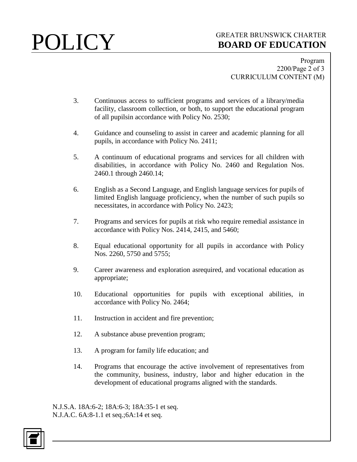## POLICY GREATER BRUNSWICK CHARTER<br>BOARD OF EDUCATION **BOARD OF EDUCATION**

Program 2200/Page 2 of 3 CURRICULUM CONTENT (M)

- 3. Continuous access to sufficient programs and services of a library/media facility, classroom collection, or both, to support the educational program of all pupilsin accordance with Policy No. 2530;
- 4. Guidance and counseling to assist in career and academic planning for all pupils, in accordance with Policy No. 2411;
- 5. A continuum of educational programs and services for all children with disabilities, in accordance with Policy No. 2460 and Regulation Nos. 2460.1 through 2460.14;
- 6. English as a Second Language, and English language services for pupils of limited English language proficiency, when the number of such pupils so necessitates, in accordance with Policy No. 2423;
- 7. Programs and services for pupils at risk who require remedial assistance in accordance with Policy Nos. 2414, 2415, and 5460;
- 8. Equal educational opportunity for all pupils in accordance with Policy Nos. 2260, 5750 and 5755;
- 9. Career awareness and exploration asrequired, and vocational education as appropriate;
- 10. Educational opportunities for pupils with exceptional abilities, in accordance with Policy No. 2464;
- 11. Instruction in accident and fire prevention;
- 12. A substance abuse prevention program;
- 13. A program for family life education; and
- 14. Programs that encourage the active involvement of representatives from the community, business, industry, labor and higher education in the development of educational programs aligned with the standards.

N.J.S.A. 18A:6-2; 18A:6-3; 18A:35-1 et seq. N.J.A.C. 6A:8-1.1 et seq.;6A:14 et seq.